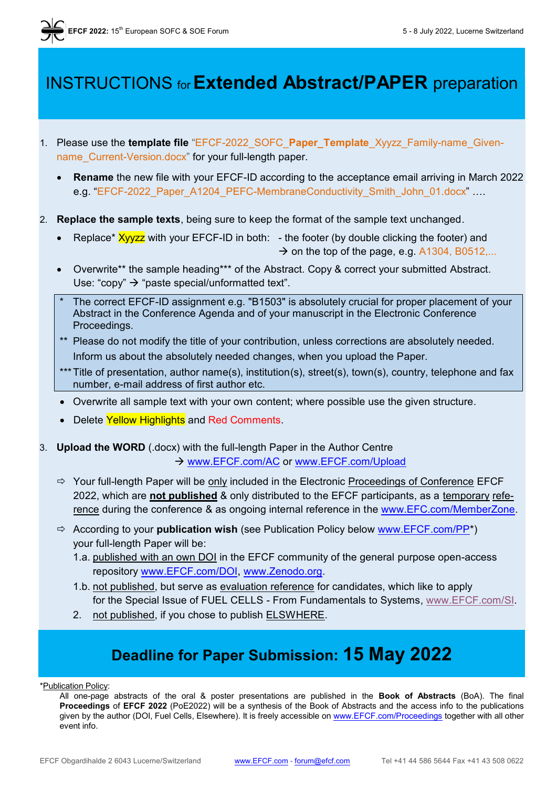# INSTRUCTIONS for**Extended Abstract/PAPER** preparation

- 1. Please use the **template file** "EFCF-2022\_SOFC\_**Paper\_Template**\_Xyyzz\_Family-name\_Givenname\_Current-Version.docx" for your full-length paper.
	- **Rename** the new file with your EFCF-ID according to the acceptance email arriving in March 2022 e.g. "EFCF-2022\_Paper\_A1204\_PEFC-MembraneConductivity\_Smith\_John\_01.docx" ....
- 2. **Replace the sample texts**, being sure to keep the format of the sample text unchanged.
	- Replace\*  $Xyyzz$  with your EFCF-ID in both: the footer (by double clicking the footer) and  $\rightarrow$  on the top of the page, e.g. A1304, B0512....
	- Overwrite\*\* the sample heading\*\*\* of the Abstract. Copy & correct your submitted Abstract. Use: "copy"  $\rightarrow$  "paste special/unformatted text".
	- The correct EFCF-ID assignment e.g. "B1503" is absolutely crucial for proper placement of your Abstract in the Conference Agenda and of your manuscript in the Electronic Conference Proceedings.
	- \*\* Please do not modify the title of your contribution, unless corrections are absolutely needed. Inform us about the absolutely needed changes, when you upload the Paper.
	- \*\*\* Title of presentation, author name(s), institution(s), street(s), town(s), country, telephone and fax number, e-mail address of first author etc.
	- Overwrite all sample text with your own content; where possible use the given structure.
	- Delete Yellow Highlights and Red Comments.

3. **Upload the WORD** (.docx) with the full-length Paper in the Author Centre → [www.EFCF.com/AC](http://www.efcf.com/AC) or [www.EFCF.com/Upload](http://www.efcf.com/Upload)

- $\Rightarrow$  Your full-length Paper will be only included in the Electronic Proceedings of Conference EFCF 2022, which are **not published** & only distributed to the EFCF participants, as a temporary reference during the conference & as ongoing internal reference in the [www.EFC.com/MemberZone.](http://www.efc.com/MemberZone)
- According to your **publication wish** (see Publication Policy below [www.EFCF.com/PP\\*](http://www.efcf.com/PP)) your full-length Paper will be:
	- 1.a. published with an own DOI in the EFCF community of the general purpose open-access repository [www.EFCF.com/DOI](http://www.efcf.com/DOI), [www.Zenodo.org.](http://www.zenodo.org/)
	- 1.b. not published, but serve as evaluation reference for candidates, which like to apply for the Special Issue of FUEL CELLS - From Fundamentals to Systems, [www.EFCF.com/SI.](http://www.efcf.com/SI)
	- 2. not published, if you chose to publish **ELSWHERE**.

### **Deadline for Paper Submission: 15 May 2022**

\*Publication Policy:

All one-page abstracts of the oral & poster presentations are published in the **Book of Abstracts** (BoA). The final **Proceedings** of **EFCF 2022** (PoE2022) will be a synthesis of the Book of Abstracts and the access info to the publications given by the author (DOI, Fuel Cells, Elsewhere). It is freely accessible o[n www.EFCF.com/Proceedings](http://www.efcf.com/Proceedings) together with all other event info.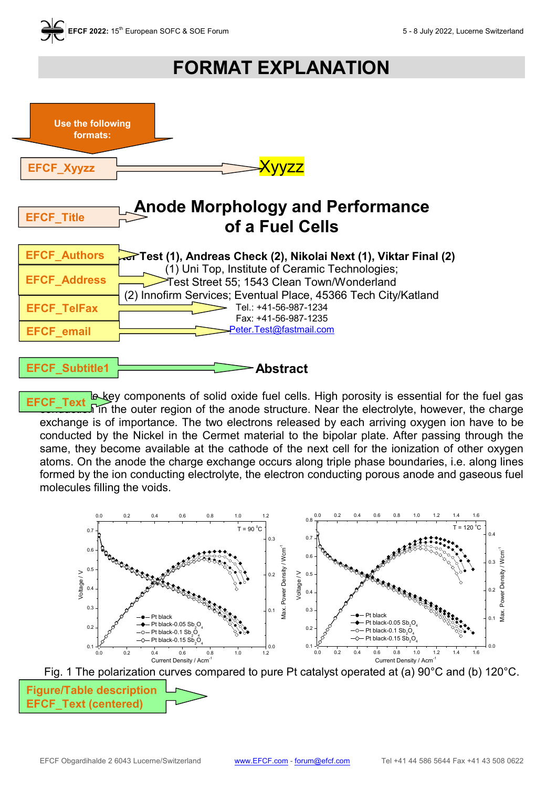

## **FORMAT EXPLANATION**



Text le key components of solid oxide fuel cells. High porosity is essential for the fuel gas  $\sqrt{n}$  the outer region of the anode structure. Near the electrolyte, however, the charge exchange is of importance. The two electrons released by each arriving oxygen ion have to be conducted by the Nickel in the Cermet material to the bipolar plate. After passing through the same, they become available at the cathode of the next cell for the ionization of other oxygen atoms. On the anode the charge exchange occurs along triple phase boundaries, i.e. along lines formed by the ion conducting electrolyte, the electron conducting porous anode and gaseous fuel molecules filling the voids. EFCF\_



**Figure/Table description EFCF\_Text (centered)**